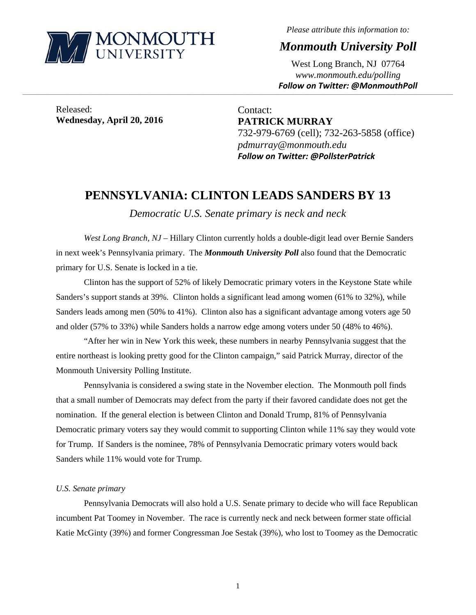

*Please attribute this information to:* 

*Monmouth University Poll* 

West Long Branch, NJ 07764 *www.monmouth.edu/polling Follow on Twitter: @MonmouthPoll*

Released: **Wednesday, April 20, 2016** 

Contact: **PATRICK MURRAY**  732-979-6769 (cell); 732-263-5858 (office) *pdmurray@monmouth.edu Follow on Twitter: @PollsterPatrick*

## **PENNSYLVANIA: CLINTON LEADS SANDERS BY 13**

,一个人的人都是不是,我们的人都是不是,我们的人都是不是,我们的人都是不是,我们的人都是不是,我们的人都是不是,我们的人都是不是,我们的人都是不是,我们的人都是不

*Democratic U.S. Senate primary is neck and neck* 

*West Long Branch, NJ* – Hillary Clinton currently holds a double-digit lead over Bernie Sanders in next week's Pennsylvania primary. The *Monmouth University Poll* also found that the Democratic primary for U.S. Senate is locked in a tie.

 Clinton has the support of 52% of likely Democratic primary voters in the Keystone State while Sanders's support stands at 39%. Clinton holds a significant lead among women (61% to 32%), while Sanders leads among men (50% to 41%). Clinton also has a significant advantage among voters age 50 and older (57% to 33%) while Sanders holds a narrow edge among voters under 50 (48% to 46%).

 "After her win in New York this week, these numbers in nearby Pennsylvania suggest that the entire northeast is looking pretty good for the Clinton campaign," said Patrick Murray, director of the Monmouth University Polling Institute.

 Pennsylvania is considered a swing state in the November election. The Monmouth poll finds that a small number of Democrats may defect from the party if their favored candidate does not get the nomination. If the general election is between Clinton and Donald Trump, 81% of Pennsylvania Democratic primary voters say they would commit to supporting Clinton while 11% say they would vote for Trump. If Sanders is the nominee, 78% of Pennsylvania Democratic primary voters would back Sanders while 11% would vote for Trump.

## *U.S. Senate primary*

 Pennsylvania Democrats will also hold a U.S. Senate primary to decide who will face Republican incumbent Pat Toomey in November. The race is currently neck and neck between former state official Katie McGinty (39%) and former Congressman Joe Sestak (39%), who lost to Toomey as the Democratic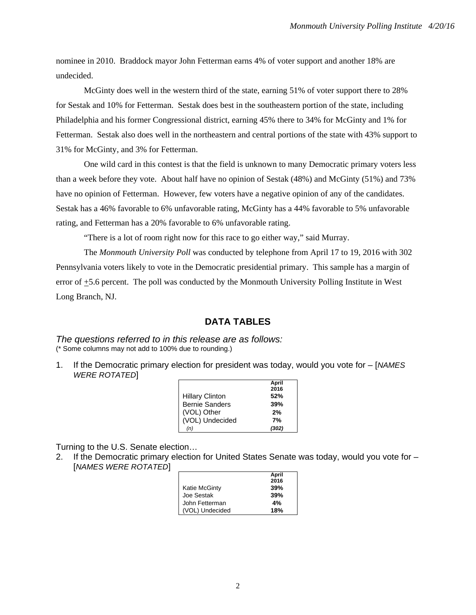nominee in 2010. Braddock mayor John Fetterman earns 4% of voter support and another 18% are undecided.

 McGinty does well in the western third of the state, earning 51% of voter support there to 28% for Sestak and 10% for Fetterman. Sestak does best in the southeastern portion of the state, including Philadelphia and his former Congressional district, earning 45% there to 34% for McGinty and 1% for Fetterman. Sestak also does well in the northeastern and central portions of the state with 43% support to 31% for McGinty, and 3% for Fetterman.

 One wild card in this contest is that the field is unknown to many Democratic primary voters less than a week before they vote. About half have no opinion of Sestak (48%) and McGinty (51%) and 73% have no opinion of Fetterman. However, few voters have a negative opinion of any of the candidates. Sestak has a 46% favorable to 6% unfavorable rating, McGinty has a 44% favorable to 5% unfavorable rating, and Fetterman has a 20% favorable to 6% unfavorable rating.

"There is a lot of room right now for this race to go either way," said Murray.

The *Monmouth University Poll* was conducted by telephone from April 17 to 19, 2016 with 302 Pennsylvania voters likely to vote in the Democratic presidential primary. This sample has a margin of error of  $\pm$ 5.6 percent. The poll was conducted by the Monmouth University Polling Institute in West Long Branch, NJ.

## **DATA TABLES**

*The questions referred to in this release are as follows:*  (\* Some columns may not add to 100% due to rounding.)

1. If the Democratic primary election for president was today, would you vote for – [*NAMES*  **WERE ROTATED** 

|                        | April |
|------------------------|-------|
|                        | 2016  |
| <b>Hillary Clinton</b> | 52%   |
| <b>Bernie Sanders</b>  | 39%   |
| (VOL) Other            | 2%    |
| (VOL) Undecided        | 7%    |
| (n)                    | (302) |

Turning to the U.S. Senate election…

2. If the Democratic primary election for United States Senate was today, would you vote for – [*NAMES WERE ROTATED*]

|                 | April |
|-----------------|-------|
|                 | 2016  |
| Katie McGinty   | 39%   |
| Joe Sestak      | 39%   |
| John Fetterman  | 4%    |
| (VOL) Undecided | 18%   |